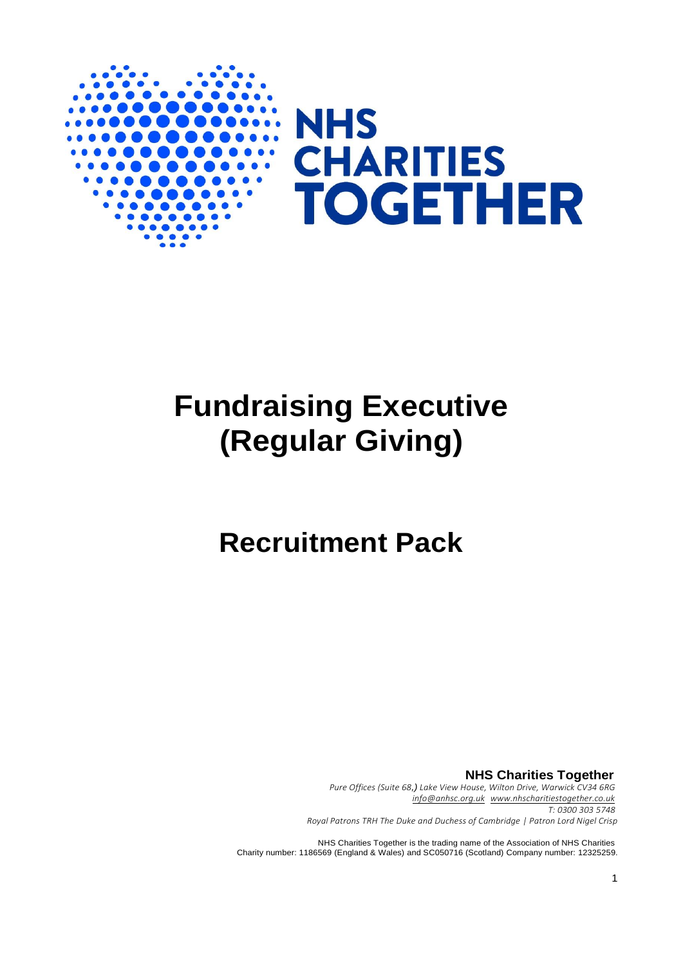

# **Fundraising Executive (Regular Giving)**

## **Recruitment Pack**

**NHS Charities Together** *Pure Offices (Suite 68,) Lake View House, Wilton Drive, Warwick CV34 6RG [info@anhsc.org.uk](mailto:info@anhsc.org.uk) [www.nhscharitiestogether.co.uk](http://www.nhscharitiestogether.co.uk/) T: 0300 303 5748 Royal Patrons TRH The Duke and Duchess of Cambridge | Patron Lord Nigel Crisp*

NHS Charities Together is the trading name of the Association of NHS Charities Charity number: 1186569 (England & Wales) and SC050716 (Scotland) Company number: 12325259.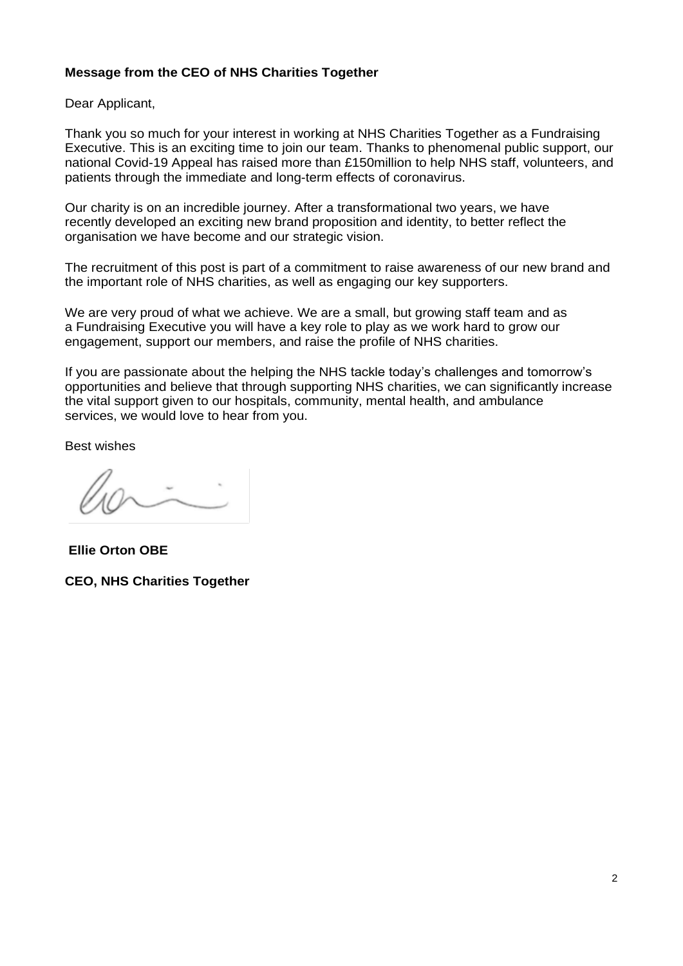#### **Message from the CEO of NHS Charities Together**

Dear Applicant,

Thank you so much for your interest in working at NHS Charities Together as a Fundraising Executive. This is an exciting time to join our team. Thanks to phenomenal public support, our national Covid-19 Appeal has raised more than £150million to help NHS staff, volunteers, and patients through the immediate and long-term effects of coronavirus.

Our charity is on an incredible journey. After a transformational two years, we have recently developed an exciting new brand proposition and identity, to better reflect the organisation we have become and our strategic vision.

The recruitment of this post is part of a commitment to raise awareness of our new brand and the important role of NHS charities, as well as engaging our key supporters.

We are very proud of what we achieve. We are a small, but growing staff team and as a Fundraising Executive you will have a key role to play as we work hard to grow our engagement, support our members, and raise the profile of NHS charities.

If you are passionate about the helping the NHS tackle today's challenges and tomorrow's opportunities and believe that through supporting NHS charities, we can significantly increase the vital support given to our hospitals, community, mental health, and ambulance services, we would love to hear from you.

Best wishes

**Ellie Orton OBE**

**CEO, NHS Charities Together**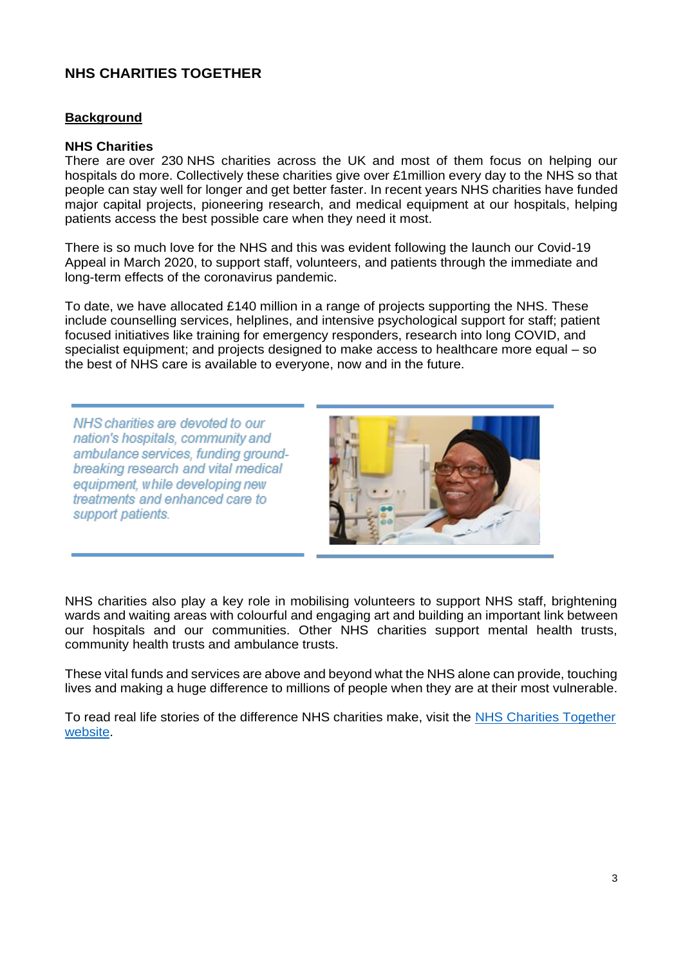#### **NHS CHARITIES TOGETHER**

#### **Background**

#### **NHS Charities**

There are over 230 NHS charities across the UK and most of them focus on helping our hospitals do more. Collectively these charities give over £1million every day to the NHS so that people can stay well for longer and get better faster. In recent years NHS charities have funded major capital projects, pioneering research, and medical equipment at our hospitals, helping patients access the best possible care when they need it most.

There is so much love for the NHS and this was evident following the launch our Covid-19 Appeal in March 2020, to support staff, volunteers, and patients through the immediate and long-term effects of the coronavirus pandemic.

To date, we have allocated £140 million in a range of projects supporting the NHS. These include counselling services, helplines, and intensive psychological support for staff; patient focused initiatives like training for emergency responders, research into long COVID, and specialist equipment; and projects designed to make access to healthcare more equal – so the best of NHS care is available to everyone, now and in the future.

NHS charities are devoted to our nation's hospitals, community and ambulance services, funding groundbreaking research and vital medical equipment, while developing new treatments and enhanced care to support patients.



NHS charities also play a key role in mobilising volunteers to support NHS staff, brightening wards and waiting areas with colourful and engaging art and building an important link between our hospitals and our communities. Other NHS charities support mental health trusts, community health trusts and ambulance trusts.

These vital funds and services are above and beyond what the NHS alone can provide, touching lives and making a huge difference to millions of people when they are at their most vulnerable.

To read real life stories of the difference NHS charities make, visit the [NHS Charities Together](https://www.nhscharitiestogether.co.uk/)  [website.](https://www.nhscharitiestogether.co.uk/)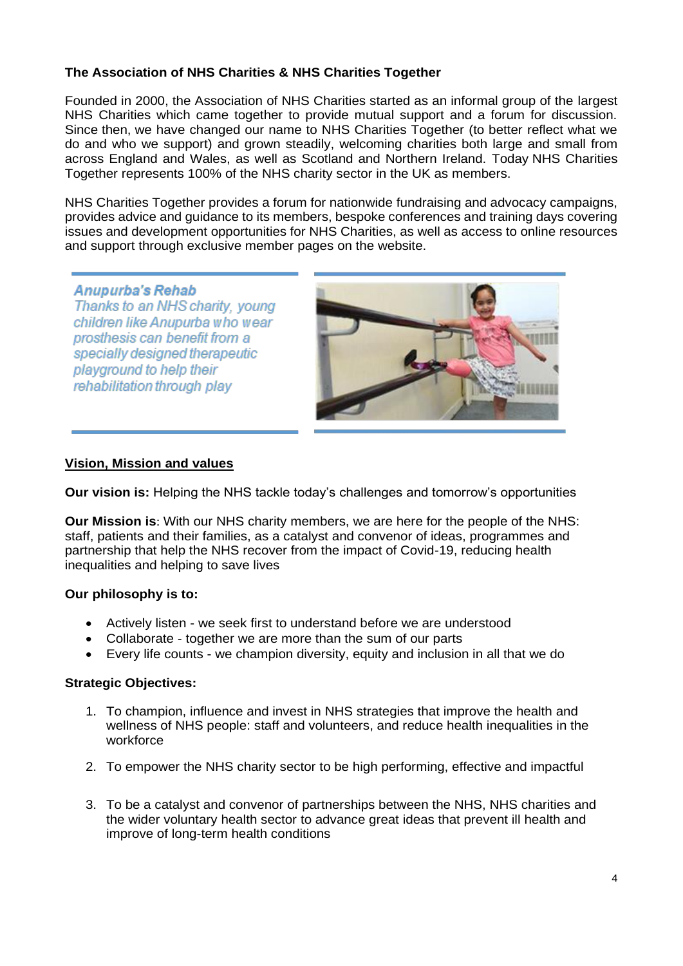#### **The Association of NHS Charities & NHS Charities Together**

Founded in 2000, the Association of NHS Charities started as an informal group of the largest NHS Charities which came together to provide mutual support and a forum for discussion. Since then, we have changed our name to NHS Charities Together (to better reflect what we do and who we support) and grown steadily, welcoming charities both large and small from across England and Wales, as well as Scotland and Northern Ireland. Today NHS Charities Together represents 100% of the NHS charity sector in the UK as members.

NHS Charities Together provides a forum for nationwide fundraising and advocacy campaigns, provides advice and guidance to its members, bespoke conferences and training days covering issues and development opportunities for NHS Charities, as well as access to online resources and support through exclusive member pages on the website.

#### Anupurba's Rehab

Thanks to an NHS charity, young children like Anupurba who wear prosthesis can benefit from a specially designed therapeutic playground to help their rehabilitation through play



#### **Vision, Mission and values**

**Our vision is:** Helping the NHS tackle today's challenges and tomorrow's opportunities

**Our Mission is**: With our NHS charity members, we are here for the people of the NHS: staff, patients and their families, as a catalyst and convenor of ideas, programmes and partnership that help the NHS recover from the impact of Covid-19, reducing health inequalities and helping to save lives

#### **Our philosophy is to:**

- Actively listen we seek first to understand before we are understood
- Collaborate together we are more than the sum of our parts
- Every life counts we champion diversity, equity and inclusion in all that we do

#### **Strategic Objectives:**

- 1. To champion, influence and invest in NHS strategies that improve the health and wellness of NHS people: staff and volunteers, and reduce health inequalities in the workforce
- 2. To empower the NHS charity sector to be high performing, effective and impactful
- 3. To be a catalyst and convenor of partnerships between the NHS, NHS charities and the wider voluntary health sector to advance great ideas that prevent ill health and improve of long-term health conditions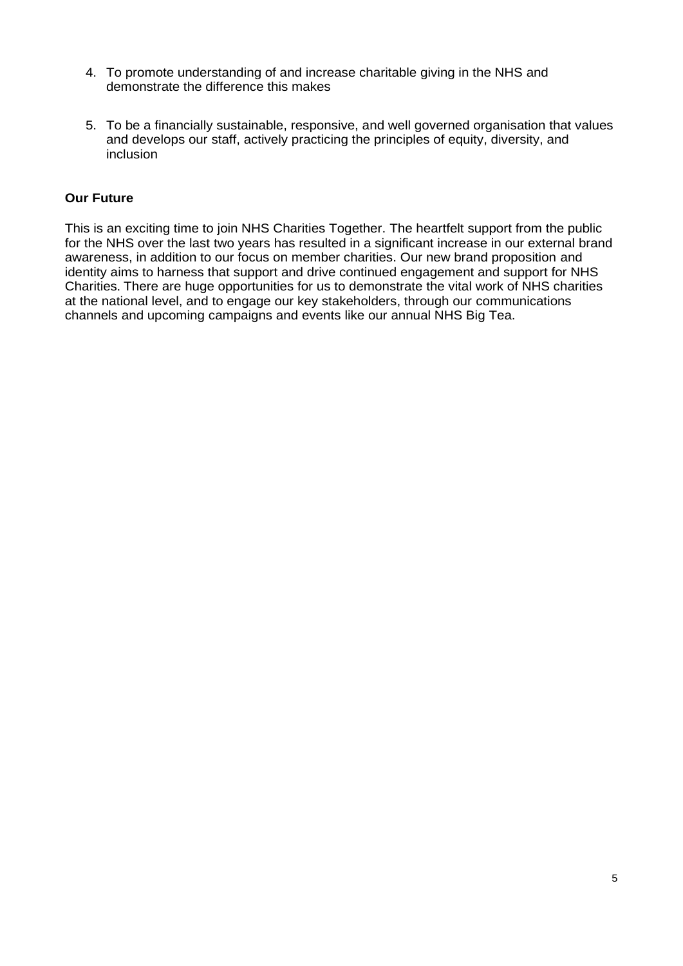- 4. To promote understanding of and increase charitable giving in the NHS and demonstrate the difference this makes
- 5. To be a financially sustainable, responsive, and well governed organisation that values and develops our staff, actively practicing the principles of equity, diversity, and inclusion

#### **Our Future**

This is an exciting time to join NHS Charities Together. The heartfelt support from the public for the NHS over the last two years has resulted in a significant increase in our external brand awareness, in addition to our focus on member charities. Our new brand proposition and identity aims to harness that support and drive continued engagement and support for NHS Charities. There are huge opportunities for us to demonstrate the vital work of NHS charities at the national level, and to engage our key stakeholders, through our communications channels and upcoming campaigns and events like our annual NHS Big Tea.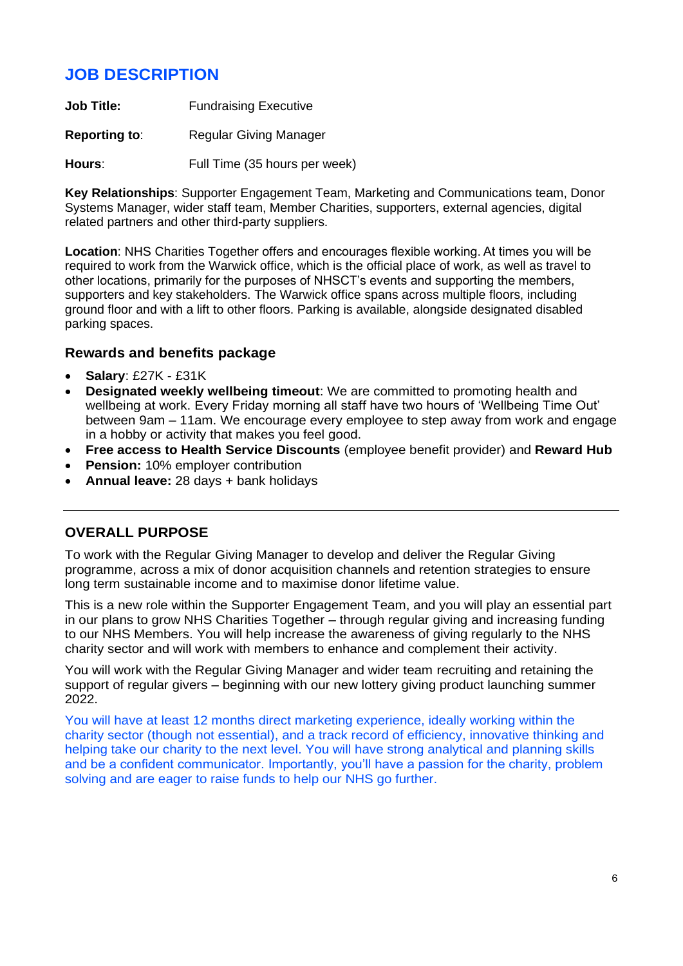## **JOB DESCRIPTION**

**Job Title:** Fundraising Executive

**Reporting to:** Regular Giving Manager

**Hours**: Full Time (35 hours per week)

**Key Relationships**: Supporter Engagement Team, Marketing and Communications team, Donor Systems Manager, wider staff team, Member Charities, supporters, external agencies, digital related partners and other third-party suppliers.

**Location**: NHS Charities Together offers and encourages flexible working. At times you will be required to work from the Warwick office, which is the official place of work, as well as travel to other locations, primarily for the purposes of NHSCT's events and supporting the members, supporters and key stakeholders. The Warwick office spans across multiple floors, including ground floor and with a lift to other floors. Parking is available, alongside designated disabled parking spaces.

#### **Rewards and benefits package**

- **Salary**: £27K £31K
- **Designated weekly wellbeing timeout**: We are committed to promoting health and wellbeing at work. Every Friday morning all staff have two hours of 'Wellbeing Time Out' between 9am – 11am. We encourage every employee to step away from work and engage in a hobby or activity that makes you feel good.
- **Free access to Health Service Discounts** (employee benefit provider) and **Reward Hub**
- **Pension:** 10% employer contribution
- **Annual leave:** 28 days + bank holidays

#### **OVERALL PURPOSE**

To work with the Regular Giving Manager to develop and deliver the Regular Giving programme, across a mix of donor acquisition channels and retention strategies to ensure long term sustainable income and to maximise donor lifetime value.

This is a new role within the Supporter Engagement Team, and you will play an essential part in our plans to grow NHS Charities Together – through regular giving and increasing funding to our NHS Members. You will help increase the awareness of giving regularly to the NHS charity sector and will work with members to enhance and complement their activity.

You will work with the Regular Giving Manager and wider team recruiting and retaining the support of regular givers – beginning with our new lottery giving product launching summer 2022.

You will have at least 12 months direct marketing experience, ideally working within the charity sector (though not essential), and a track record of efficiency, innovative thinking and helping take our charity to the next level. You will have strong analytical and planning skills and be a confident communicator. Importantly, you'll have a passion for the charity, problem solving and are eager to raise funds to help our NHS go further.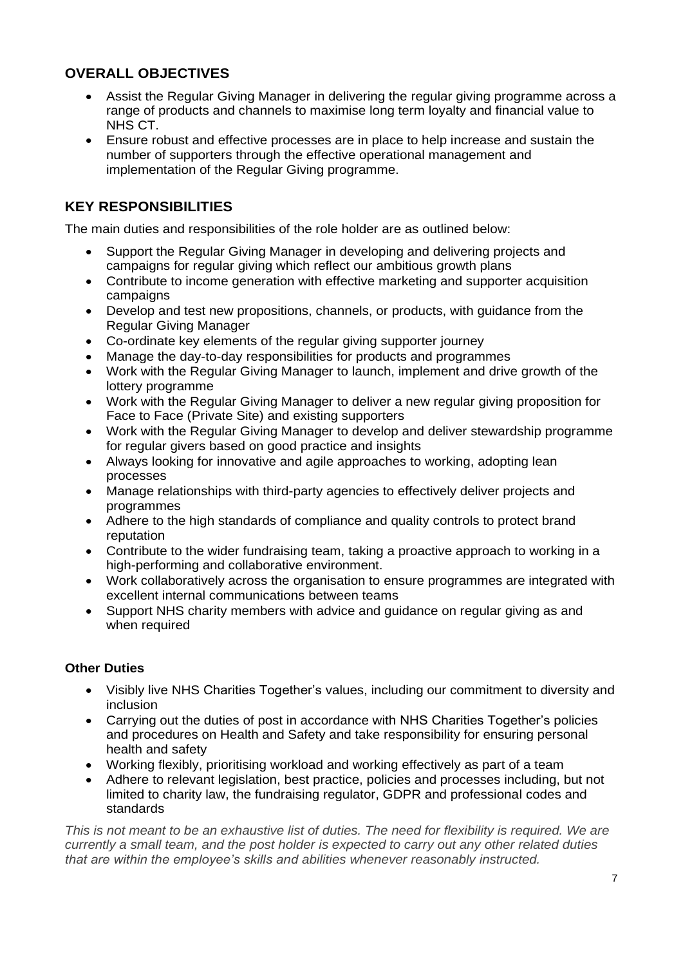#### **OVERALL OBJECTIVES**

- Assist the Regular Giving Manager in delivering the regular giving programme across a range of products and channels to maximise long term loyalty and financial value to NHS CT.
- Ensure robust and effective processes are in place to help increase and sustain the number of supporters through the effective operational management and implementation of the Regular Giving programme.

#### **KEY RESPONSIBILITIES**

The main duties and responsibilities of the role holder are as outlined below:

- Support the Regular Giving Manager in developing and delivering projects and campaigns for regular giving which reflect our ambitious growth plans
- Contribute to income generation with effective marketing and supporter acquisition campaigns
- Develop and test new propositions, channels, or products, with guidance from the Regular Giving Manager
- Co-ordinate key elements of the regular giving supporter journey
- Manage the day-to-day responsibilities for products and programmes
- Work with the Regular Giving Manager to launch, implement and drive growth of the lottery programme
- Work with the Regular Giving Manager to deliver a new regular giving proposition for Face to Face (Private Site) and existing supporters
- Work with the Regular Giving Manager to develop and deliver stewardship programme for regular givers based on good practice and insights
- Always looking for innovative and agile approaches to working, adopting lean processes
- Manage relationships with third-party agencies to effectively deliver projects and programmes
- Adhere to the high standards of compliance and quality controls to protect brand reputation
- Contribute to the wider fundraising team, taking a proactive approach to working in a high-performing and collaborative environment.
- Work collaboratively across the organisation to ensure programmes are integrated with excellent internal communications between teams
- Support NHS charity members with advice and guidance on regular giving as and when required

#### **Other Duties**

- Visibly live NHS Charities Together's values, including our commitment to diversity and inclusion
- Carrying out the duties of post in accordance with NHS Charities Together's policies and procedures on Health and Safety and take responsibility for ensuring personal health and safety
- Working flexibly, prioritising workload and working effectively as part of a team
- Adhere to relevant legislation, best practice, policies and processes including, but not limited to charity law, the fundraising regulator, GDPR and professional codes and standards

*This is not meant to be an exhaustive list of duties. The need for flexibility is required. We are currently a small team, and the post holder is expected to carry out any other related duties that are within the employee's skills and abilities whenever reasonably instructed.*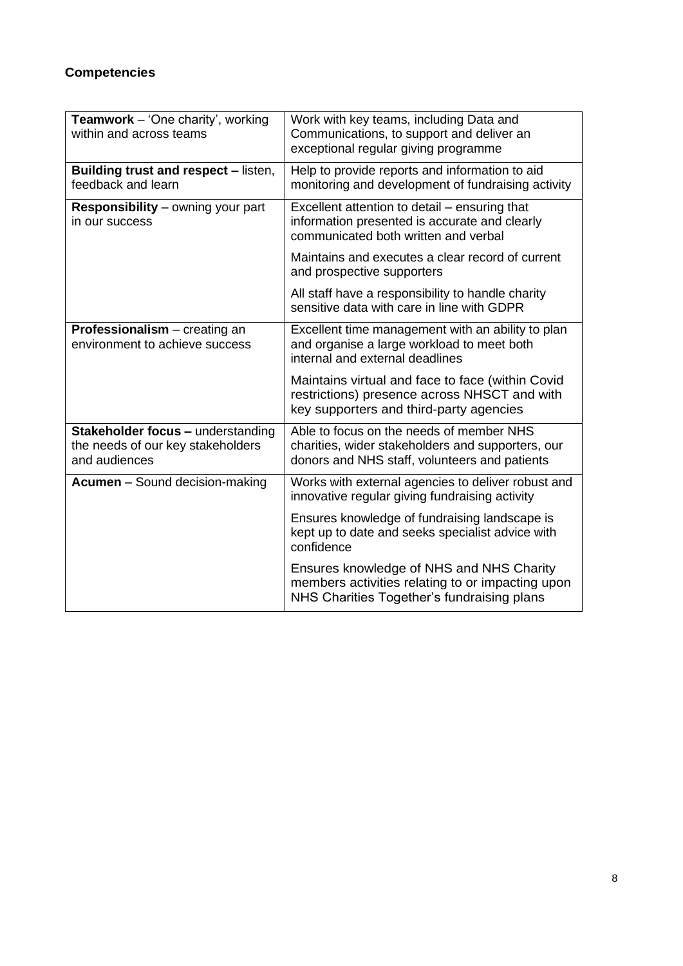## **Competencies**

| Teamwork - 'One charity', working<br>within and across teams                                   | Work with key teams, including Data and<br>Communications, to support and deliver an<br>exceptional regular giving programme                   |  |
|------------------------------------------------------------------------------------------------|------------------------------------------------------------------------------------------------------------------------------------------------|--|
| <b>Building trust and respect - listen,</b><br>feedback and learn                              | Help to provide reports and information to aid<br>monitoring and development of fundraising activity                                           |  |
| <b>Responsibility</b> – owning your part<br>in our success                                     | Excellent attention to detail – ensuring that<br>information presented is accurate and clearly<br>communicated both written and verbal         |  |
|                                                                                                | Maintains and executes a clear record of current<br>and prospective supporters                                                                 |  |
|                                                                                                | All staff have a responsibility to handle charity<br>sensitive data with care in line with GDPR                                                |  |
| Professionalism - creating an<br>environment to achieve success                                | Excellent time management with an ability to plan<br>and organise a large workload to meet both<br>internal and external deadlines             |  |
|                                                                                                | Maintains virtual and face to face (within Covid<br>restrictions) presence across NHSCT and with<br>key supporters and third-party agencies    |  |
| <b>Stakeholder focus - understanding</b><br>the needs of our key stakeholders<br>and audiences | Able to focus on the needs of member NHS<br>charities, wider stakeholders and supporters, our<br>donors and NHS staff, volunteers and patients |  |
| <b>Acumen</b> – Sound decision-making                                                          | Works with external agencies to deliver robust and<br>innovative regular giving fundraising activity                                           |  |
|                                                                                                | Ensures knowledge of fundraising landscape is<br>kept up to date and seeks specialist advice with<br>confidence                                |  |
|                                                                                                | Ensures knowledge of NHS and NHS Charity<br>members activities relating to or impacting upon<br>NHS Charities Together's fundraising plans     |  |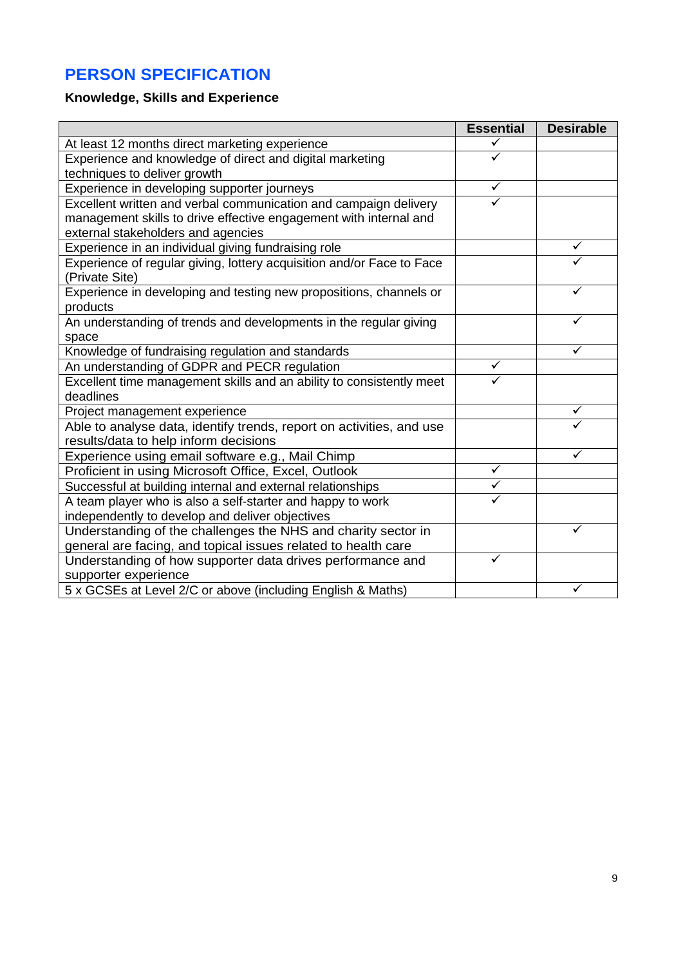## **PERSON SPECIFICATION**

## **Knowledge, Skills and Experience**

|                                                                       | <b>Essential</b> | <b>Desirable</b> |
|-----------------------------------------------------------------------|------------------|------------------|
| At least 12 months direct marketing experience                        | ✓                |                  |
| Experience and knowledge of direct and digital marketing              | ✓                |                  |
| techniques to deliver growth                                          |                  |                  |
| Experience in developing supporter journeys                           | ✓                |                  |
| Excellent written and verbal communication and campaign delivery      | ✓                |                  |
| management skills to drive effective engagement with internal and     |                  |                  |
| external stakeholders and agencies                                    |                  |                  |
| Experience in an individual giving fundraising role                   |                  |                  |
| Experience of regular giving, lottery acquisition and/or Face to Face |                  |                  |
| (Private Site)                                                        |                  |                  |
| Experience in developing and testing new propositions, channels or    |                  |                  |
| products                                                              |                  |                  |
| An understanding of trends and developments in the regular giving     |                  |                  |
| space                                                                 |                  |                  |
| Knowledge of fundraising regulation and standards                     |                  | ✓                |
| An understanding of GDPR and PECR regulation                          | $\checkmark$     |                  |
| Excellent time management skills and an ability to consistently meet  |                  |                  |
| deadlines                                                             |                  |                  |
| Project management experience                                         |                  | ✓                |
| Able to analyse data, identify trends, report on activities, and use  |                  |                  |
| results/data to help inform decisions                                 |                  |                  |
| Experience using email software e.g., Mail Chimp                      |                  | ✓                |
| Proficient in using Microsoft Office, Excel, Outlook                  | $\checkmark$     |                  |
| Successful at building internal and external relationships            | $\checkmark$     |                  |
| A team player who is also a self-starter and happy to work            | ✓                |                  |
| independently to develop and deliver objectives                       |                  |                  |
| Understanding of the challenges the NHS and charity sector in         |                  |                  |
| general are facing, and topical issues related to health care         |                  |                  |
| Understanding of how supporter data drives performance and            | ✓                |                  |
| supporter experience                                                  |                  |                  |
| 5 x GCSEs at Level 2/C or above (including English & Maths)           |                  | ✓                |